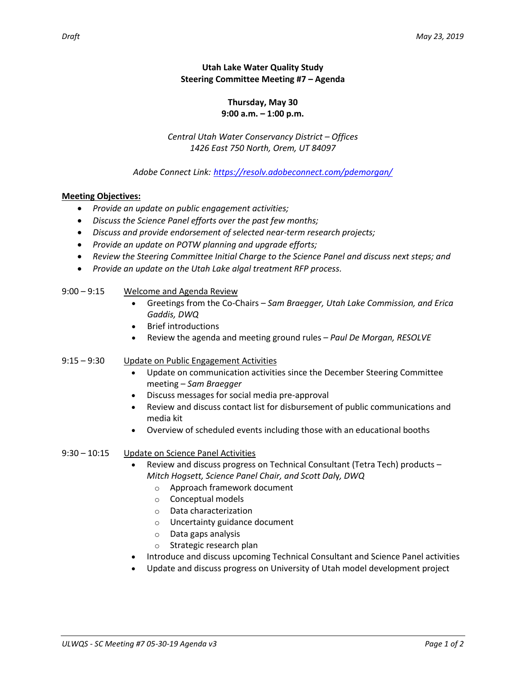# **Utah Lake Water Quality Study Steering Committee Meeting #7 – Agenda**

### **Thursday, May 30 9:00 a.m. – 1:00 p.m.**

*Central Utah Water Conservancy District – Offices 1426 East 750 North, Orem, UT 84097*

*Adobe Connect Link: <https://resolv.adobeconnect.com/pdemorgan/>*

### **Meeting Objectives:**

- *Provide an update on public engagement activities;*
- *Discuss the Science Panel efforts over the past few months;*
- *Discuss and provide endorsement of selected near-term research projects;*
- *Provide an update on POTW planning and upgrade efforts;*
- *Review the Steering Committee Initial Charge to the Science Panel and discuss next steps; and*
- *Provide an update on the Utah Lake algal treatment RFP process.*

### 9:00 – 9:15 Welcome and Agenda Review

- Greetings from the Co-Chairs *Sam Braegger, Utah Lake Commission, and Erica Gaddis, DWQ*
- Brief introductions
- Review the agenda and meeting ground rules *Paul De Morgan, RESOLVE*

### 9:15 – 9:30 Update on Public Engagement Activities

- Update on communication activities since the December Steering Committee meeting – *Sam Braegger*
- Discuss messages for social media pre-approval
- Review and discuss contact list for disbursement of public communications and media kit
- Overview of scheduled events including those with an educational booths

#### 9:30 – 10:15 Update on Science Panel Activities

- Review and discuss progress on Technical Consultant (Tetra Tech) products *Mitch Hogsett, Science Panel Chair, and Scott Dal*y*, DWQ*
	- o Approach framework document
	- o Conceptual models
	- o Data characterization
	- o Uncertainty guidance document
	- o Data gaps analysis
	- o Strategic research plan
- Introduce and discuss upcoming Technical Consultant and Science Panel activities
- Update and discuss progress on University of Utah model development project